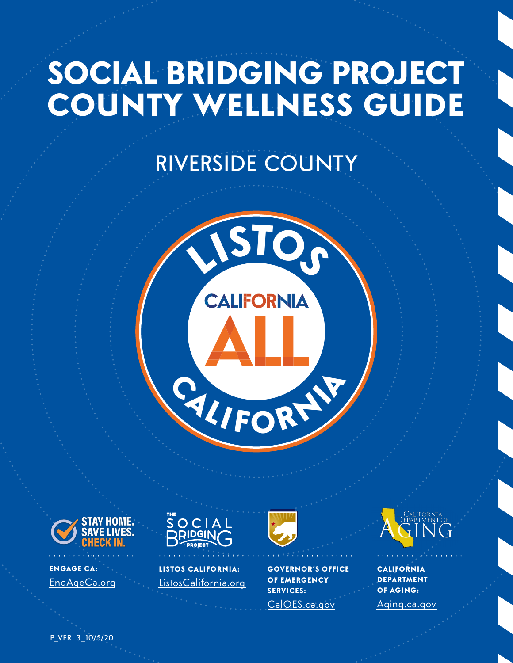# SOCIAL BRIDGING PROJECT<br>COUNTY WELLNESS GUIDE

# RIVERSIDE COUNTY





ENGAGE CA: [EngAgeCa.org](https://www.engageca.org/)



LISTOS CALIFORNIA: [ListosCali](https://www.listoscalifornia.org/)fornia.org



GOVERNOR'S OFFICE OF EMERGENCY SERVICES: [CalOES.ca.gov](https://www.caloes.ca.gov/)



**CALIFORNIA** DEPARTMENT OF AGING: AGING [Aging.ca.gov](https://aging.ca.gov/)

\_ P\_VER. 3\_10/5/20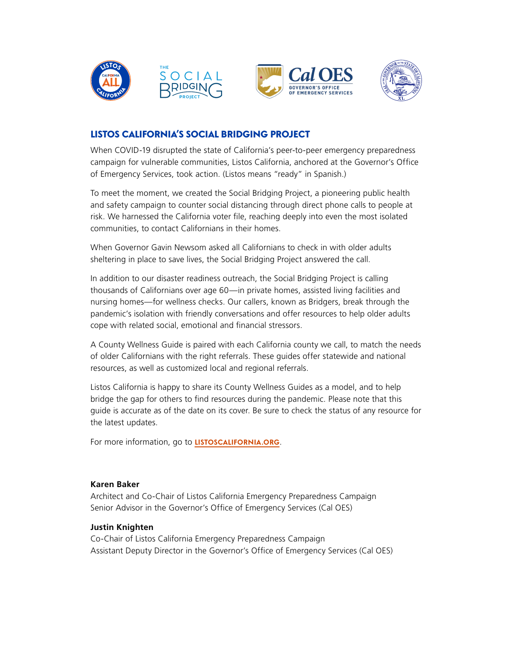

# LISTOS CALIFORNIA'S SOCIAL BRIDGING PROJECT

When COVID-19 disrupted the state of California's peer-to-peer emergency preparedness campaign for vulnerable communities, Listos California, anchored at the Governor's Office of Emergency Services, took action. (Listos means "ready" in Spanish.)

To meet the moment, we created the Social Bridging Project, a pioneering public health and safety campaign to counter social distancing through direct phone calls to people at risk. We harnessed the California voter fle, reaching deeply into even the most isolated communities, to contact Californians in their homes.

When Governor Gavin Newsom asked all Californians to check in with older adults sheltering in place to save lives, the Social Bridging Project answered the call.

In addition to our disaster readiness outreach, the Social Bridging Project is calling thousands of Californians over age 60—in private homes, assisted living facilities and nursing homes—for wellness checks. Our callers, known as Bridgers, break through the pandemic's isolation with friendly conversations and offer resources to help older adults cope with related social, emotional and fnancial stressors.

A County Wellness Guide is paired with each California county we call, to match the needs of older Californians with the right referrals. These guides offer statewide and national resources, as well as customized local and regional referrals.

Listos California is happy to share its County Wellness Guides as a model, and to help bridge the gap for others to fnd resources during the pandemic. Please note that this guide is accurate as of the date on its cover. Be sure to check the status of any resource for the latest updates.

For more information, go to **[LISTOSCALIFORNIA.ORG](https://www.listoscalifornia.org/)**.

# **Karen Baker**

Architect and Co-Chair of Listos California Emergency Preparedness Campaign Senior Advisor in the Governor's Office of Emergency Services (Cal OES)

# **Justin Knighten**

Co-Chair of Listos California Emergency Preparedness Campaign Assistant Deputy Director in the Governor's Office of Emergency Services (Cal OES)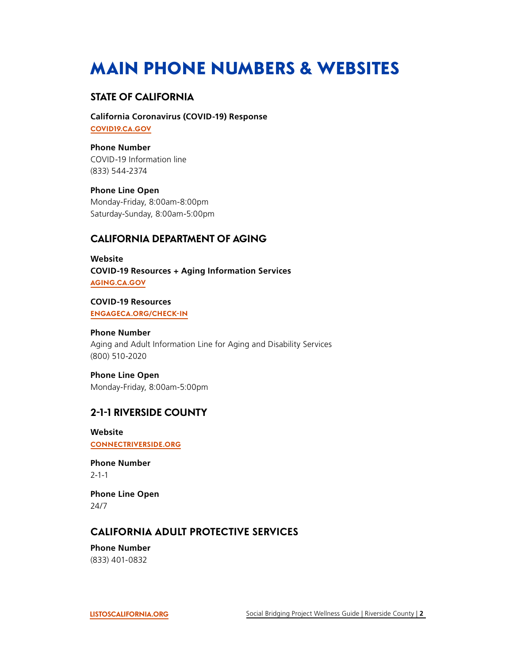# MAIN PHONE NUMBERS & WEBSITES

# **STATE OF CALIFORNIA**

**California Coronavirus (COVID-19) Response [COVID19.CA.GOV](https://covid19.ca.gov/)** 

**Phone Number**  COVID-19 Information line (833) 544-2374

**Phone Line Open** 

Monday-Friday, 8:00am-8:00pm Saturday-Sunday, 8:00am-5:00pm

# **CALIFORNIA DEPARTMENT OF AGING**

**Website COVID-19 Resources + Aging Information Services [AGING.CA.GOV](https://aging.ca.gov/)** 

**COVID-19 Resources [ENGAGECA.ORG/CHECK-IN](https://www.engageca.org/check-in)** 

**Phone Number**  Aging and Adult Information Line for Aging and Disability Services (800) 510-2020

**Phone Line Open**  Monday-Friday, 8:00am-5:00pm

# **2-1-1 RIVERSIDE COUNTY**

**Website [CONNECTRIVERSIDE.ORG](https://connectriverside.org/)** 

**Phone Number**  2-1-1

**Phone Line Open**  24/7

# **CALIFORNIA ADULT PROTECTIVE SERVICES**

**Phone Number**  (833) 401-0832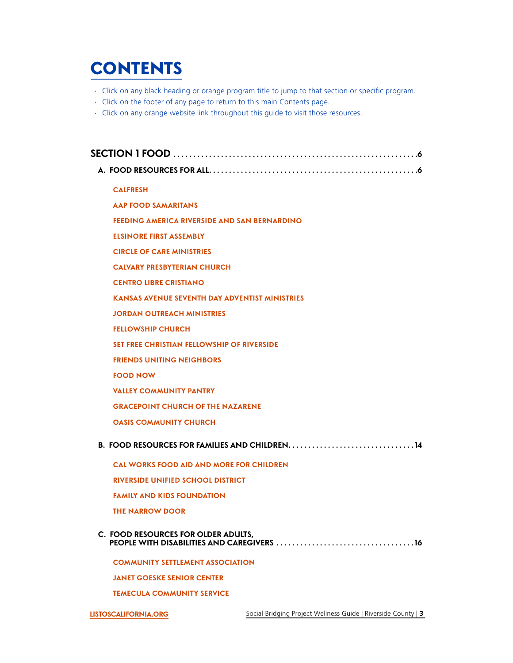# <span id="page-3-0"></span>**CONTENTS**

- ∙ Click on any black heading or orange program title to jump to that section or specifc program.
- ∙ Click on the footer of any page to return to this main Contents page.
- ∙ Click on any orange website link throughout this guide to visit those resources.

| <b>CALFRESH</b>                                                                                        |
|--------------------------------------------------------------------------------------------------------|
| <b>AAP FOOD SAMARITANS</b>                                                                             |
| FEEDING AMERICA RIVERSIDE AND SAN BERNARDINO                                                           |
| <b>ELSINORE FIRST ASSEMBLY</b>                                                                         |
| <b>CIRCLE OF CARE MINISTRIES</b>                                                                       |
| <b>CALVARY PRESBYTERIAN CHURCH</b>                                                                     |
| <b>CENTRO LIBRE CRISTIANO</b>                                                                          |
| <b>KANSAS AVENUE SEVENTH DAY ADVENTIST MINISTRIES</b>                                                  |
| <b>JORDAN OUTREACH MINISTRIES</b>                                                                      |
| <b>FELLOWSHIP CHURCH</b>                                                                               |
| <b>SET FREE CHRISTIAN FELLOWSHIP OF RIVERSIDE</b>                                                      |
| <b>FRIENDS UNITING NEIGHBORS</b>                                                                       |
| <b>FOOD NOW</b>                                                                                        |
| <b>VALLEY COMMUNITY PANTRY</b>                                                                         |
| <b>GRACEPOINT CHURCH OF THE NAZARENE</b>                                                               |
| <b>OASIS COMMUNITY CHURCH</b>                                                                          |
| B. FOOD RESOURCES FOR FAMILIES AND CHILDREN. $\dots\dots\dots\dots\dots\dots\dots\dots\dots\dots\dots$ |
| <b>CAL WORKS FOOD AID AND MORE FOR CHILDREN</b>                                                        |
| <b>RIVERSIDE UNIFIED SCHOOL DISTRICT</b>                                                               |
| <b>FAMILY AND KIDS FOUNDATION</b>                                                                      |
| <b>THE NARROW DOOR</b>                                                                                 |
| C. FOOD RESOURCES FOR OLDER ADULTS,                                                                    |
| <b>COMMUNITY SETTLEMENT ASSOCIATION</b>                                                                |
| <b>JANET GOESKE SENIOR CENTER</b>                                                                      |

**[TEMECULA COMMUNITY SERVICE](#page-17-0)**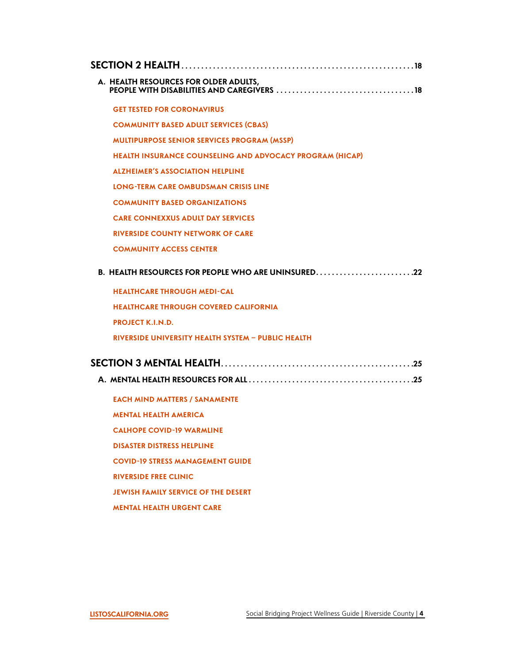| A. HEALTH RESOURCES FOR OLDER ADULTS,                           |
|-----------------------------------------------------------------|
| <b>GET TESTED FOR CORONAVIRUS</b>                               |
| <b>COMMUNITY BASED ADULT SERVICES (CBAS)</b>                    |
| <b>MULTIPURPOSE SENIOR SERVICES PROGRAM (MSSP)</b>              |
| <b>HEALTH INSURANCE COUNSELING AND ADVOCACY PROGRAM (HICAP)</b> |
| <b>ALZHEIMER'S ASSOCIATION HELPLINE</b>                         |
| LONG-TERM CARE OMBUDSMAN CRISIS LINE                            |
| <b>COMMUNITY BASED ORGANIZATIONS</b>                            |
| <b>CARE CONNEXXUS ADULT DAY SERVICES</b>                        |
| <b>RIVERSIDE COUNTY NETWORK OF CARE</b>                         |
| <b>COMMUNITY ACCESS CENTER</b>                                  |
| B. HEALTH RESOURCES FOR PEOPLE WHO ARE UNINSURED22              |
| <b>HEALTHCARE THROUGH MEDI-CAL</b>                              |
| <b>HEALTHCARE THROUGH COVERED CALIFORNIA</b>                    |
| <b>PROJECT K.I.N.D.</b>                                         |
| <b>RIVERSIDE UNIVERSITY HEALTH SYSTEM - PUBLIC HEALTH</b>       |
|                                                                 |
|                                                                 |
| <b>EACH MIND MATTERS / SANAMENTE</b>                            |
| <b>MENTAL HEALTH AMERICA</b>                                    |
| <b>CALHOPE COVID-19 WARMLINE</b>                                |
| <b>DISASTER DISTRESS HELPLINE</b>                               |
| <b>COVID-19 STRESS MANAGEMENT GUIDE</b>                         |
| <b>RIVERSIDE FREE CLINIC</b>                                    |
| <b>JEWISH FAMILY SERVICE OF THE DESERT</b>                      |
| <b>MENTAL HEALTH URGENT CARE</b>                                |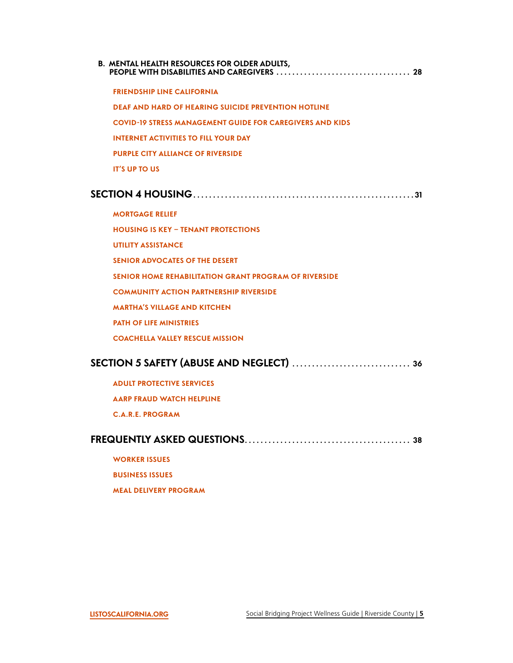**[B. MENTAL HEALTH RESOURCES FOR OLDER ADULTS,](#page-28-0)  [PEOPLE WITH DISABILITIES AND CAREGIVERS ..................................](#page-28-0) 28** 

**[FRIENDSHIP LINE CALIFORNIA](#page-28-0) [DEAF AND HARD OF HEARING SUICIDE PREVENTION HOTLINE](#page-29-0) [COVID-19 STRESS MANAGEMENT GUIDE FOR CAREGIVERS AND KIDS](#page-29-0) [INTERNET ACTIVITIES TO FILL YOUR DAY](#page-30-0) [PURPLE CITY ALLIANCE OF RIVERSIDE](#page-30-0) [IT'S UP TO US](#page-30-0)** 

# **[SECTION 4 HOUSING ........................................................](#page-31-0) 31**

**[MORTGAGE RELIEF](#page-31-0) [HOUSING IS KEY – TENANT PROTECTIONS](#page-31-0)  [UTILITY ASSISTANCE](#page-32-0) [SENIOR ADVOCATES OF THE DESERT](#page-32-0)  [SENIOR HOME REHABILITATION GRANT PROGRAM OF RIVERSIDE](#page-33-0)  [COMMUNITY ACTION PARTNERSHIP RIVERSIDE](#page-33-0) [MARTHA'S VILLAGE AND KITCHEN](#page-34-0)  [PATH OF LIFE MINISTRIES](#page-34-0) [COACHELLA VALLEY RESCUE MISSION](#page-35-0)** 

# **[SECTION 5 SAFETY \(ABUSE AND NEGLECT\) ..............................](#page-36-0) 36**

**[ADULT PROTECTIVE SERVICES](#page-36-0)  [AARP FRAUD WATCH HELPLINE](#page-36-0) C.A.R.E. [PROGRAM](#page-37-0)** 

# **[FREQUENTLY ASKED QUESTIONS ..........................................](#page-38-0) 38**

**[WORKER ISSUES](#page-38-0)** 

**[BUSINESS ISSUES](#page-39-0)** 

**[MEAL DELIVERY PROGRAM](#page-39-0)**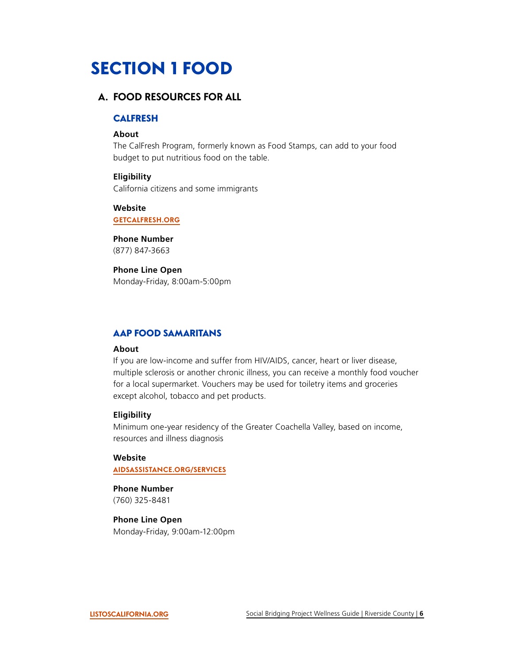# <span id="page-6-0"></span>SECTION 1 FOOD

# **A. FOOD RESOURCES FOR ALL**

# CALFRESH

#### **About**

The CalFresh Program, formerly known as Food Stamps, can add to your food budget to put nutritious food on the table.

#### **Eligibility**

California citizens and some immigrants

**Website** 

**[GETCALFRESH.ORG](https://www.getcalfresh.org/)** 

**Phone Number**  (877) 847-3663

#### **Phone Line Open**

Monday-Friday, 8:00am-5:00pm

# AAP FOOD SAMARITANS

#### **About**

If you are low-income and suffer from HIV/AIDS, cancer, heart or liver disease, multiple sclerosis or another chronic illness, you can receive a monthly food voucher for a local supermarket. Vouchers may be used for toiletry items and groceries except alcohol, tobacco and pet products.

#### **Eligibility**

Minimum one-year residency of the Greater Coachella Valley, based on income, resources and illness diagnosis

#### **Website**

**[AIDSASSISTANCE.ORG/SERVICES](https://aidsassistance.org/SERVICES)** 

**Phone Number**  (760) 325-8481

# **Phone Line Open**

Monday-Friday, 9:00am-12:00pm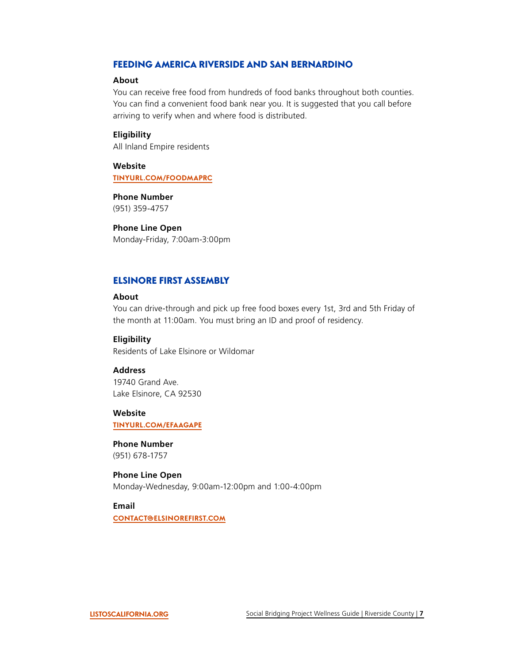# <span id="page-7-0"></span>FEEDING AMERICA RIVERSIDE AND SAN BERNARDINO

#### **About**

You can receive free food from hundreds of food banks throughout both counties. You can find a convenient food bank near you. It is suggested that you call before arriving to verify when and where food is distributed.

#### **Eligibility**

All Inland Empire residents

**Website [TINYURL.COM/FOODMAPRC](https://www.feedingamericaie.org/find-pantry)** 

**Phone Number**  (951) 359-4757

**Phone Line Open**  Monday-Friday, 7:00am-3:00pm

#### ELSINORE FIRST ASSEMBLY

#### **About**

You can drive-through and pick up free food boxes every 1st, 3rd and 5th Friday of the month at 11:00am. You must bring an ID and proof of residency.

#### **Eligibility**

Residents of Lake Elsinore or Wildomar

#### **Address**

19740 Grand Ave. Lake Elsinore, CA 92530

#### **Website**

**[TINYURL.COM/EFAAGAPE](http://www.elsinorefirst.com/agape-food-ministry/)** 

#### **Phone Number**

(951) 678-1757

# **Phone Line Open**

Monday-Wednesday, 9:00am-12:00pm and 1:00-4:00pm

#### **Email**

**[CONTACT@ELSINOREFIRST.COM](mailto:contact@elsinorefirst.com)**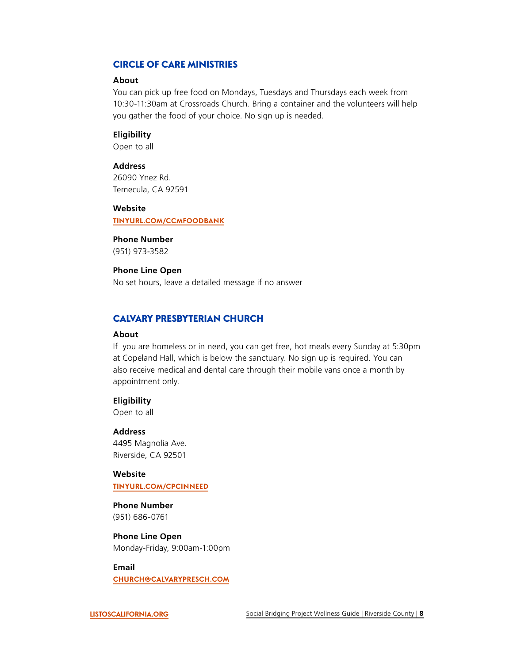# <span id="page-8-0"></span>CIRCLE OF CARE MINISTRIES

#### **About**

You can pick up free food on Mondays, Tuesdays and Thursdays each week from 10:30-11:30am at Crossroads Church. Bring a container and the volunteers will help you gather the food of your choice. No sign up is needed.

#### **Eligibility**

Open to all

#### **Address**

26090 Ynez Rd. Temecula, CA 92591

#### **Website**

**[TINYURL.COM/CCMFOODBANK](https://circleofcareministries.org/how-we-can-help)** 

**Phone Number**  (951) 973-3582

**Phone Line Open**  No set hours, leave a detailed message if no answer

#### CALVARY PRESBYTERIAN CHURCH

#### **About**

If you are homeless or in need, you can get free, hot meals every Sunday at 5:30pm at Copeland Hall, which is below the sanctuary. No sign up is required. You can also receive medical and dental care through their mobile vans once a month by appointment only.

#### **Eligibility**

Open to all

#### **Address**

4495 Magnolia Ave. Riverside, CA 92501

#### **Website [TINYURL.COM/CPCINNEED](https://www.calvarypresch.org/homeless-outreach)**

#### **Phone Number**

(951) 686-0761

#### **Phone Line Open**

Monday-Friday, 9:00am-1:00pm

#### **Email**

**[CHURCH@CALVARYPRESCH.COM](mailto:church@calvarypresch.com)**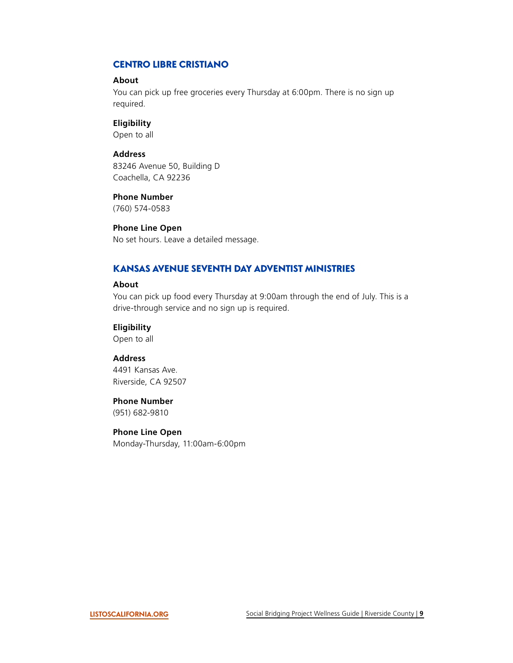# <span id="page-9-0"></span>CENTRO LIBRE CRISTIANO

#### **About**

You can pick up free groceries every Thursday at 6:00pm. There is no sign up required.

#### **Eligibility**

Open to all

#### **Address**

83246 Avenue 50, Building D Coachella, CA 92236

#### **Phone Number**

(760) 574-0583

#### **Phone Line Open**

No set hours. Leave a detailed message.

# KANSAS AVENUE SEVENTH DAY ADVENTIST MINISTRIES

#### **About**

You can pick up food every Thursday at 9:00am through the end of July. This is a drive-through service and no sign up is required.

#### **Eligibility**

Open to all

#### **Address**

4491 Kansas Ave. Riverside, CA 92507

#### **Phone Number**

(951) 682-9810

#### **Phone Line Open**

Monday-Thursday, 11:00am-6:00pm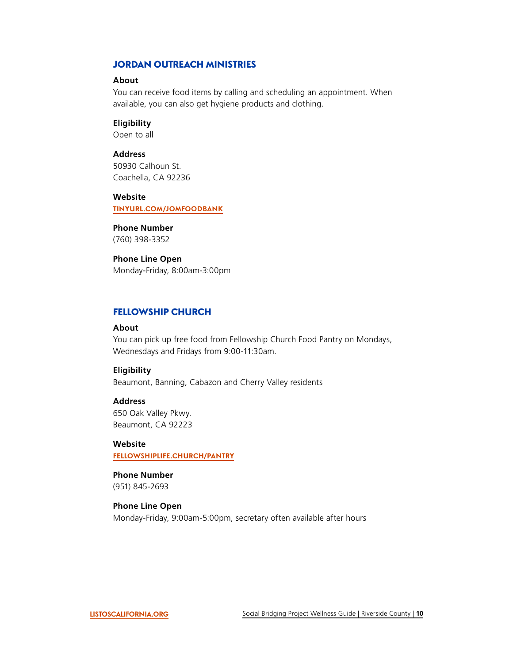# <span id="page-10-0"></span>JORDAN OUTREACH MINISTRIES

#### **About**

You can receive food items by calling and scheduling an appointment. When available, you can also get hygiene products and clothing.

**Eligibility** 

Open to all

# **Address**

50930 Calhoun St. Coachella, CA 92236

#### **Website**

**[TINYURL.COM/JOMFOODBANK](https://www.jordanoutreach.org/programs-and-services/)** 

#### **Phone Number**

(760) 398-3352

## **Phone Line Open**

Monday-Friday, 8:00am-3:00pm

# FELLOWSHIP CHURCH

#### **About**

 Wednesdays and Fridays from 9:00-11:30am. You can pick up free food from Fellowship Church Food Pantry on Mondays,

#### **Eligibility**

Beaumont, Banning, Cabazon and Cherry Valley residents

#### **Address**

650 Oak Valley Pkwy. Beaumont, CA 92223

#### **Website**

**[FELLOWSHIPLIFE.CHURCH/PANTRY](https://www.fellowshiplife.church/pantry)** 

# **Phone Number**

(951) 845-2693

#### **Phone Line Open**

Monday-Friday, 9:00am-5:00pm, secretary often available after hours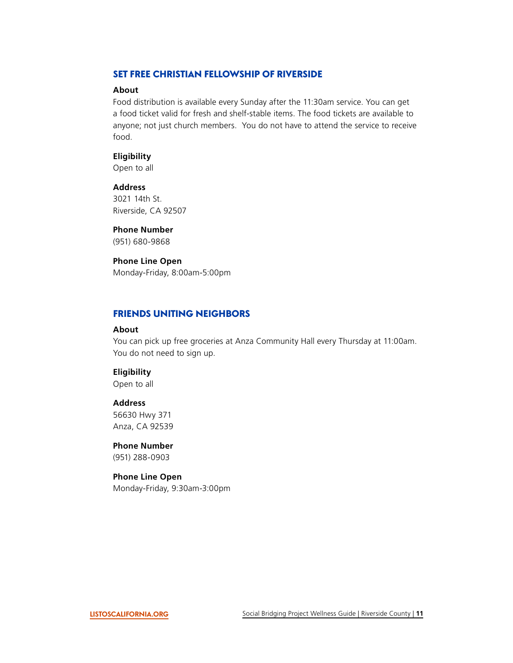# <span id="page-11-0"></span>SET FREE CHRISTIAN FELLOWSHIP OF RIVERSIDE

#### **About**

Food distribution is available every Sunday after the 11:30am service. You can get a food ticket valid for fresh and shelf-stable items. The food tickets are available to anyone; not just church members. You do not have to attend the service to receive food.

# **Eligibility**

Open to all

# **Address**

3021 14th St. Riverside, CA 92507

#### **Phone Number**

(951) 680-9868

#### **Phone Line Open**

Monday-Friday, 8:00am-5:00pm

# FRIENDS UNITING NEIGHBORS

#### **About**

You can pick up free groceries at Anza Community Hall every Thursday at 11:00am. You do not need to sign up.

#### **Eligibility**

Open to all

#### **Address**

56630 Hwy 371 Anza, CA 92539

## **Phone Number**

(951) 288-0903

#### **Phone Line Open**

Monday-Friday, 9:30am-3:00pm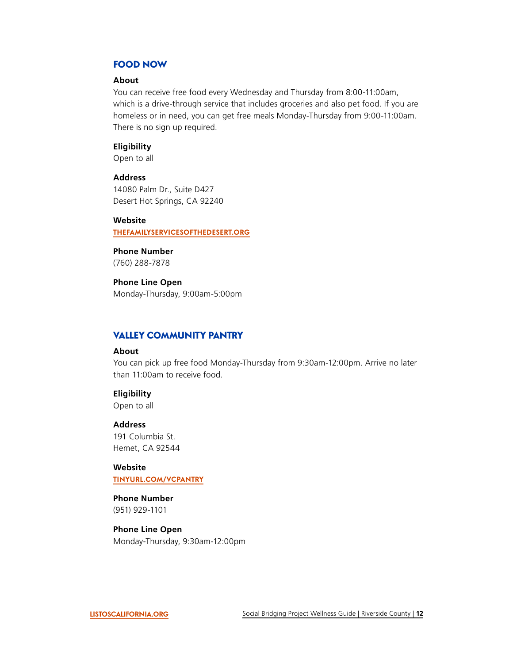# <span id="page-12-0"></span>FOOD NOW

#### **About**

You can receive free food every Wednesday and Thursday from 8:00-11:00am, which is a drive-through service that includes groceries and also pet food. If you are homeless or in need, you can get free meals Monday-Thursday from 9:00-11:00am. There is no sign up required.

#### **Eligibility**

Open to all

#### **Address**

14080 Palm Dr., Suite D427 Desert Hot Springs, CA 92240

#### **Website**

**[THEFAMILYSERVICESOFTHEDESERT.ORG](https://thefamilyservicesofthedesert.org/)** 

# **Phone Number**

(760) 288-7878

#### **Phone Line Open**

Monday-Thursday, 9:00am-5:00pm

# VALLEY COMMUNITY PANTRY

#### **About**

You can pick up free food Monday-Thursday from 9:30am-12:00pm. Arrive no later than 11:00am to receive food.

#### **Eligibility**

Open to all

#### **Address**

191 Columbia St. Hemet, CA 92544

#### **Website**

**[TINYURL.COM/VCPANTRY](https://www.vcpcares.org/how-we-help/)** 

#### **Phone Number**

(951) 929-1101

## **Phone Line Open**

Monday-Thursday, 9:30am-12:00pm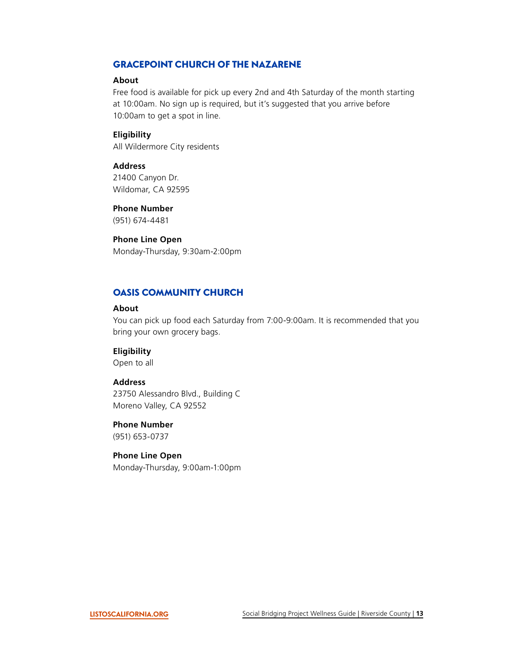# <span id="page-13-0"></span>GRACEPOINT CHURCH OF THE NAZARENE

#### **About**

Free food is available for pick up every 2nd and 4th Saturday of the month starting at 10:00am. No sign up is required, but it's suggested that you arrive before 10:00am to get a spot in line.

#### **Eligibility**

All Wildermore City residents

#### **Address**

21400 Canyon Dr. Wildomar, CA 92595

#### **Phone Number**

(951) 674-4481

# **Phone Line Open**

Monday-Thursday, 9:30am-2:00pm

# OASIS COMMUNITY CHURCH

#### **About**

You can pick up food each Saturday from 7:00-9:00am. It is recommended that you bring your own grocery bags.

#### **Eligibility**

Open to all

#### **Address**

23750 Alessandro Blvd., Building C Moreno Valley, CA 92552

#### **Phone Number**

(951) 653-0737

# **Phone Line Open**

Monday-Thursday, 9:00am-1:00pm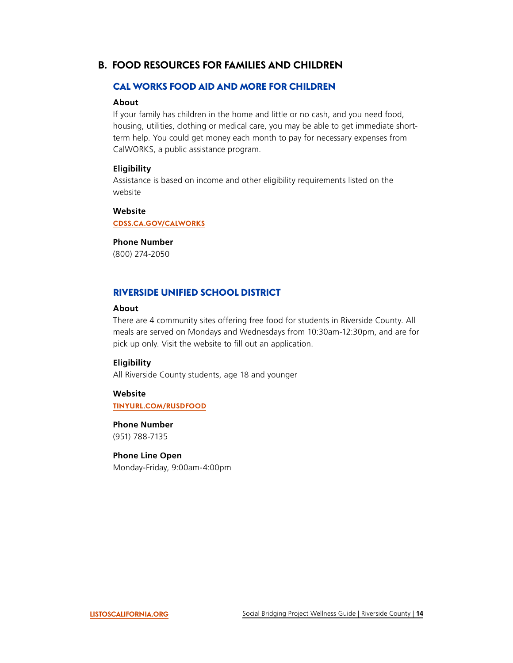# <span id="page-14-0"></span>**B. FOOD RESOURCES FOR FAMILIES AND CHILDREN**

# CAL WORKS FOOD AID AND MORE FOR CHILDREN

# **About**

If your family has children in the home and little or no cash, and you need food, housing, utilities, clothing or medical care, you may be able to get immediate shortterm help. You could get money each month to pay for necessary expenses from CalWORKS, a public assistance program.

#### **Eligibility**

Assistance is based on income and other eligibility requirements listed on the website

# **Website**

**[CDSS.CA.GOV/CALWORKS](https://cdss.ca.gov/calworks)** 

#### **Phone Number**

(800) 274-2050

# RIVERSIDE UNIFIED SCHOOL DISTRICT

#### **About**

There are 4 community sites offering free food for students in Riverside County. All meals are served on Mondays and Wednesdays from 10:30am-12:30pm, and are for pick up only. Visit the website to fill out an application.

# **Eligibility**

All Riverside County students, age 18 and younger

#### **Website [TINYURL.COM/RUSDFOOD](http://riversideunified.org/cms/One.aspx?portalId=580805&pageId=14354720)**

**Phone Number**  (951) 788-7135

## **Phone Line Open**

Monday-Friday, 9:00am-4:00pm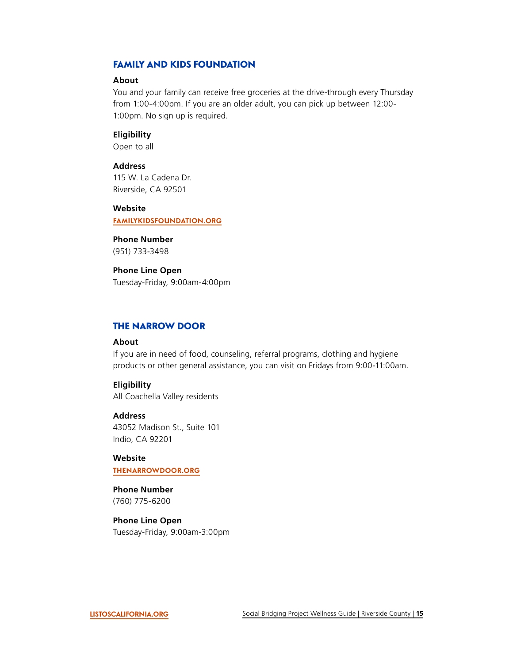# <span id="page-15-0"></span>FAMILY AND KIDS FOUNDATION

#### **About**

You and your family can receive free groceries at the drive-through every Thursday from 1:00-4:00pm. If you are an older adult, you can pick up between 12:00- 1:00pm. No sign up is required.

#### **Eligibility**

Open to all

# **Address**

115 W. La Cadena Dr. Riverside, CA 92501

#### **Website**

**[FAMILYKIDSFOUNDATION.ORG](https://familykidsfoundation.org/)** 

**Phone Number**  (951) 733-3498

#### **Phone Line Open**

Tuesday-Friday, 9:00am-4:00pm

#### THE NARROW DOOR

#### **About**

If you are in need of food, counseling, referral programs, clothing and hygiene products or other general assistance, you can visit on Fridays from 9:00-11:00am.

#### **Eligibility**

All Coachella Valley residents

#### **Address**

43052 Madison St., Suite 101 Indio, CA 92201

#### **Website**

**[THENARROWDOOR.ORG](https://www.thenarrowdoor.org/)** 

# **Phone Number**

(760) 775-6200

#### **Phone Line Open**  Tuesday-Friday, 9:00am-3:00pm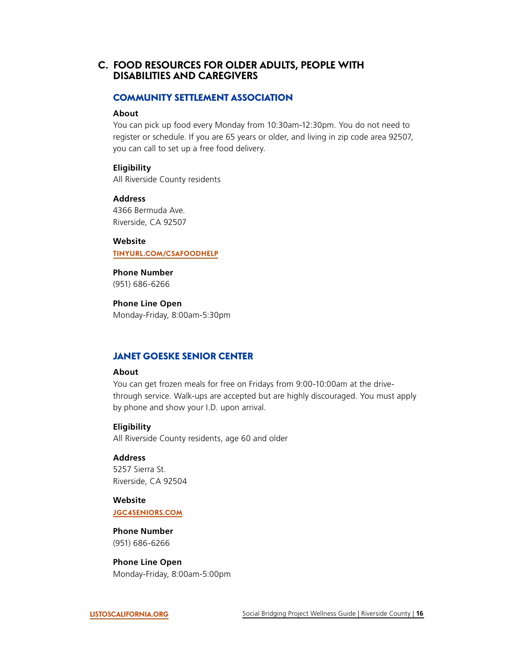# <span id="page-16-0"></span>**C. FOOD RESOURCES FOR OLDER ADULTS, PEOPLE WITH DISABILITIES AND CAREGIVERS**

#### COMMUNITY SETTLEMENT ASSOCIATION

#### **About**

You can pick up food every Monday from 10:30am-12:30pm. You do not need to register or schedule. If you are 65 years or older, and living in zip code area 92507, you can call to set up a free food delivery.

#### **Eligibility**

All Riverside County residents

#### **Address**

4366 Bermuda Ave. Riverside, CA 92507

#### **Website**

**[TINYURL.COM/CSAFOODHELP](https://csariverside.org/food-pantry-program/)** 

# **Phone Number**

(951) 686-6266

# **Phone Line Open**

Monday-Friday, 8:00am-5:30pm

# JANET GOESKE SENIOR CENTER

# **About**

You can get frozen meals for free on Fridays from 9:00-10:00am at the drivethrough service. Walk-ups are accepted but are highly discouraged. You must apply by phone and show your I.D. upon arrival.

#### **Eligibility**

All Riverside County residents, age 60 and older

# **Address**

5257 Sierra St. Riverside, CA 92504

#### **Website [JGC4SENIORS.COM](https://jgc4seniors.com/)**

# **Phone Number**  (951) 686-6266

**Phone Line Open**  Monday-Friday, 8:00am-5:00pm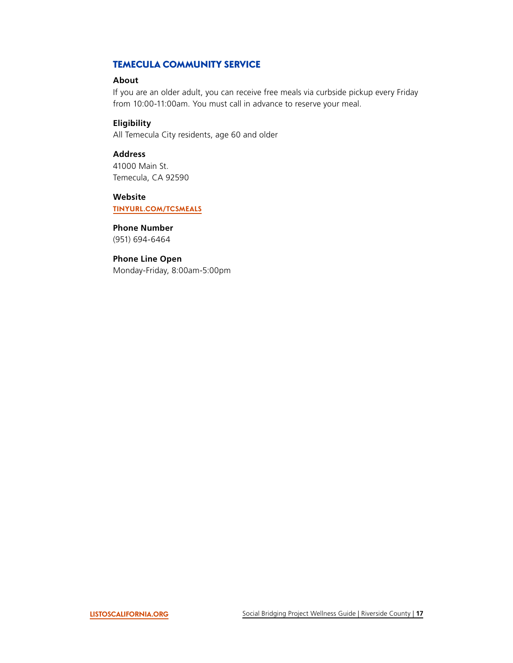# <span id="page-17-0"></span>TEMECULA COMMUNITY SERVICE

#### **About**

If you are an older adult, you can receive free meals via curbside pickup every Friday from 10:00-11:00am. You must call in advance to reserve your meal.

## **Eligibility**

All Temecula City residents, age 60 and older

# **Address**

41000 Main St. Temecula, CA 92590

#### **Website**

**[TINYURL.COM/TCSMEALS](https://temeculaca.gov/487/Daily-Nutrition-Program-for-Seniors)** 

# **Phone Number**

(951) 694-6464

# **Phone Line Open**

Monday-Friday, 8:00am-5:00pm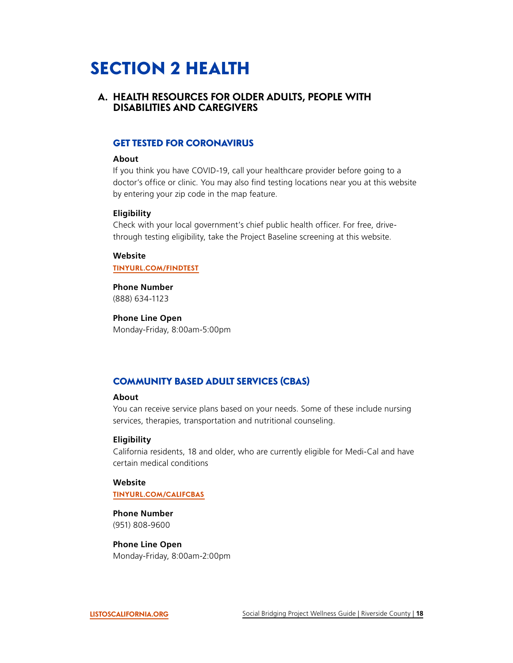# <span id="page-18-0"></span>SECTION 2 HEALTH

# **A. HEALTH RESOURCES FOR OLDER ADULTS, PEOPLE WITH DISABILITIES AND CAREGIVERS**

# GET TESTED FOR CORONAVIRUS

#### **About**

If you think you have COVID-19, call your healthcare provider before going to a doctor's office or clinic. You may also find testing locations near you at this website by entering your zip code in the map feature.

#### **Eligibility**

Check with your local government's chief public health officer. For free, drivethrough testing eligibility, take the Project Baseline screening at this website.

#### **Website [TINYURL.COM/FINDTEST](https://covid19.ca.gov/get-tested/#top)**

**Phone Number**  (888) 634-1123

**Phone Line Open**  Monday-Friday, 8:00am-5:00pm

# COMMUNITY BASED ADULT SERVICES (CBAS)

# **About**

You can receive service plans based on your needs. Some of these include nursing services, therapies, transportation and nutritional counseling.

#### **Eligibility**

California residents, 18 and older, who are currently eligible for Medi-Cal and have certain medical conditions

#### **Website**

#### **[TINYURL.COM/CALIFCBAS](https://aging.ca.gov/Programs_and_Services/Community-Based_Adult_Services/)**

**Phone Number**  (951) 808-9600

**Phone Line Open**  Monday-Friday, 8:00am-2:00pm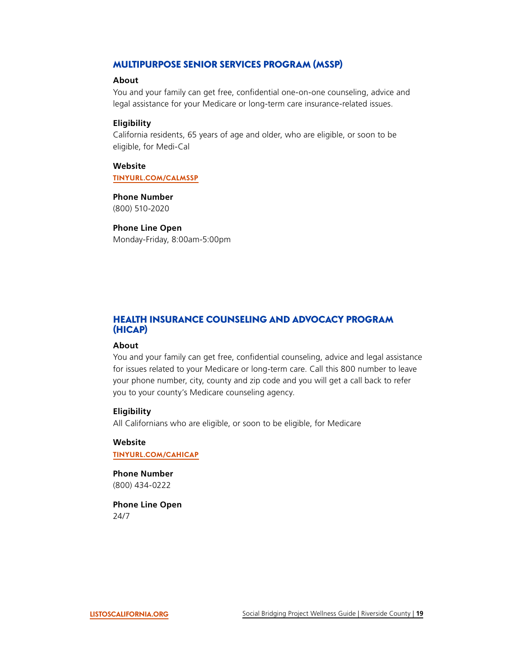# <span id="page-19-0"></span>MULTIPURPOSE SENIOR SERVICES PROGRAM (MSSP)

#### **About**

You and your family can get free, confidential one-on-one counseling, advice and legal assistance for your Medicare or long-term care insurance-related issues.

#### **Eligibility**

California residents, 65 years of age and older, who are eligible, or soon to be eligible, for Medi-Cal

**Website [TINYURL.COM/CALMSSP](https://aging.ca.gov/Programs_and_Services/Multipurpose_Senior_Services_Program/)** 

#### **Phone Number**

(800) 510-2020

#### **Phone Line Open**

Monday-Friday, 8:00am-5:00pm

# HEALTH INSURANCE COUNSELING AND ADVOCACY PROGRAM (HICAP)

#### **About**

You and your family can get free, confidential counseling, advice and legal assistance for issues related to your Medicare or long-term care. Call this 800 number to leave your phone number, city, county and zip code and you will get a call back to refer you to your county's Medicare counseling agency.

#### **Eligibility**

All Californians who are eligible, or soon to be eligible, for Medicare

#### **Website [TINYURL.COM/CAHICAP](https://www.aging.ca.gov/Programs_and_Services/Medicare_Counseling/)**

**Phone Number** 

(800) 434-0222

**Phone Line Open**  24/7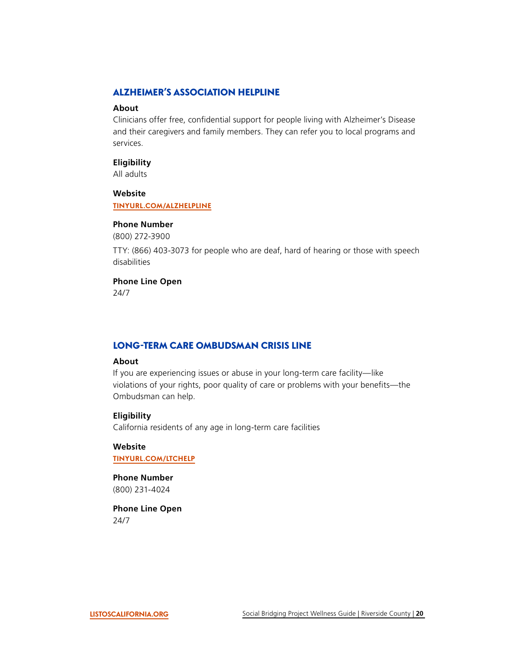# <span id="page-20-0"></span>ALZHEIMER'S ASSOCIATION HELPLINE

#### **About**

Clinicians offer free, confdential support for people living with Alzheimer's Disease and their caregivers and family members. They can refer you to local programs and services.

#### **Eligibility**

All adults

**Website** 

**[TINYURL.COM/ALZHELPLINE](https://www.alz.org/help-support/resources/helpline)** 

#### **Phone Number**

(800) 272-3900

TTY: (866) 403-3073 for people who are deaf, hard of hearing or those with speech disabilities

#### **Phone Line Open**

24/7

# LONG-TERM CARE OMBUDSMAN CRISIS LINE

## **About**

If you are experiencing issues or abuse in your long-term care facility—like violations of your rights, poor quality of care or problems with your benefits—the Ombudsman can help.

#### **Eligibility**

California residents of any age in long-term care facilities

#### **Website [TINYURL.COM/LTCHELP](https://www.aging.ca.gov/Programs_and_Services/Long-Term_Care_Ombudsman/)**

#### **Phone Number**  (800) 231-4024

**Phone Line Open**  24/7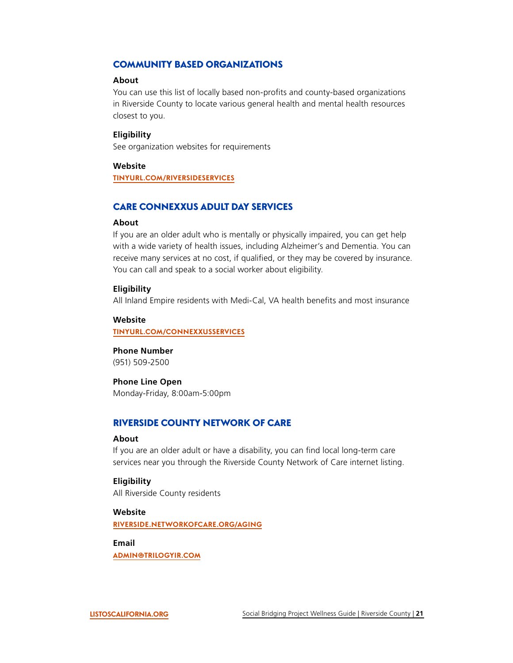# <span id="page-21-0"></span>COMMUNITY BASED ORGANIZATIONS

#### **About**

You can use this list of locally based non-profits and county-based organizations in Riverside County to locate various general health and mental health resources closest to you.

#### **Eligibility**

See organization websites for requirements

#### **Website**

**[TINYURL.COM/RIVERSIDESERVICES](https://takano.house.gov/services/federal-agency/community-based-organizations)** 

# CARE CONNEXXUS ADULT DAY SERVICES

#### **About**

If you are an older adult who is mentally or physically impaired, you can get help with a wide variety of health issues, including Alzheimer's and Dementia. You can receive many services at no cost, if qualified, or they may be covered by insurance. You can call and speak to a social worker about eligibility.

#### **Eligibility**

All Inland Empire residents with Medi-Cal, VA health benefts and most insurance

#### **Website**

**[TINYURL.COM/CONNEXXUSSERVICES](http://www.careconnexxus.org/services.aspx)** 

#### **Phone Number**

(951) 509-2500

#### **Phone Line Open**

Monday-Friday, 8:00am-5:00pm

## RIVERSIDE COUNTY NETWORK OF CARE

#### **About**

If you are an older adult or have a disability, you can find local long-term care services near you through the Riverside County Network of Care internet listing.

# **Eligibility**

All Riverside County residents

## **Website [RIVERSIDE.NETWORKOFCARE.ORG/AGING](https://riverside.networkofcare.org/AGING/)**

**Email [ADMIN@TRILOGYIR.COM](mailto:admin@trilogyir.com)**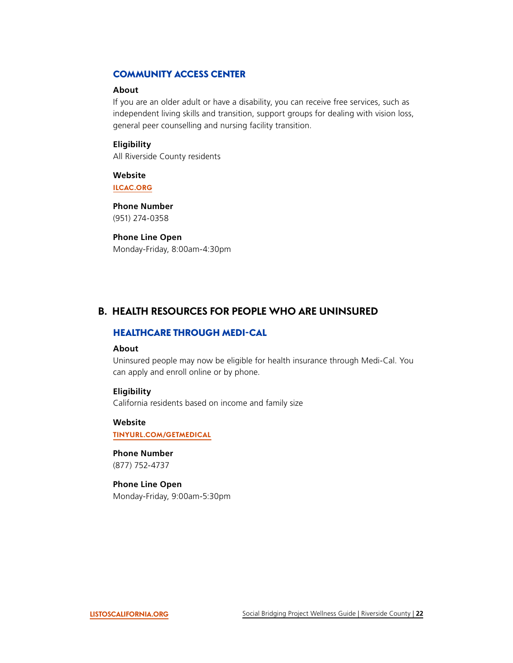# <span id="page-22-0"></span>COMMUNITY ACCESS CENTER

#### **About**

If you are an older adult or have a disability, you can receive free services, such as independent living skills and transition, support groups for dealing with vision loss, general peer counselling and nursing facility transition.

#### **Eligibility**

All Riverside County residents

**Website [ILCAC.ORG](https://ilcac.org/)** 

**Phone Number**  (951) 274-0358

#### **Phone Line Open**

Monday-Friday, 8:00am-4:30pm

# **B. HEALTH RESOURCES FOR PEOPLE WHO ARE UNINSURED**

# HEALTHCARE THROUGH MEDI-CAL

#### **About**

Uninsured people may now be eligible for health insurance through Medi-Cal. You can apply and enroll online or by phone.

#### **Eligibility**

California residents based on income and family size

**Website [TINYURL.COM/GETMEDICAL](https://www.healthforcalifornia.com/covered-california/health-insurance-companies/medi-cal)** 

**Phone Number** 

(877) 752-4737

# **Phone Line Open**

Monday-Friday, 9:00am-5:30pm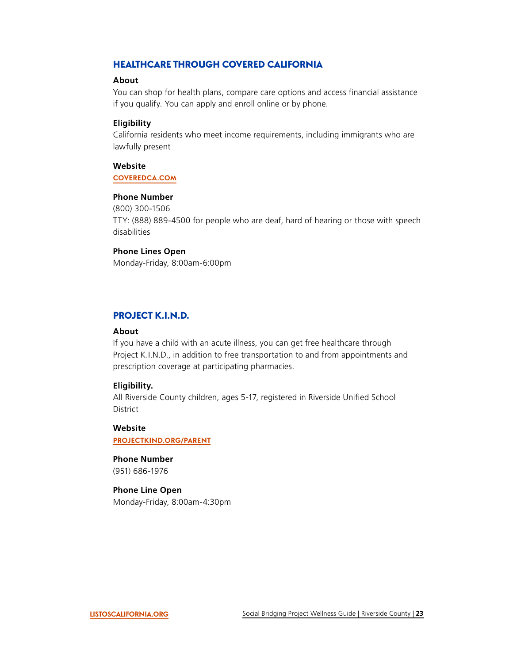# <span id="page-23-0"></span>HEALTHCARE THROUGH COVERED CALIFORNIA

#### **About**

You can shop for health plans, compare care options and access fnancial assistance if you qualify. You can apply and enroll online or by phone.

#### **Eligibility**

California residents who meet income requirements, including immigrants who are lawfully present

#### **Website**

**[COVEREDCA.COM](https://www.coveredca.com/)** 

#### **Phone Number**

(800) 300-1506 TTY: (888) 889-4500 for people who are deaf, hard of hearing or those with speech disabilities

#### **Phone Lines Open**

Monday-Friday, 8:00am-6:00pm

# PROJECT K.I.N.D.

#### **About**

 prescription coverage at participating pharmacies. If you have a child with an acute illness, you can get free healthcare through Project K.I.N.D., in addition to free transportation to and from appointments and

#### **Eligibility.**

All Riverside County children, ages 5-17, registered in Riverside Unifed School District

#### **Website**

**[PROJECTKIND.ORG/PARENT](http://www.projectkind.org/PARENT)** 

#### **Phone Number**

(951) 686-1976

#### **Phone Line Open**

Monday-Friday, 8:00am-4:30pm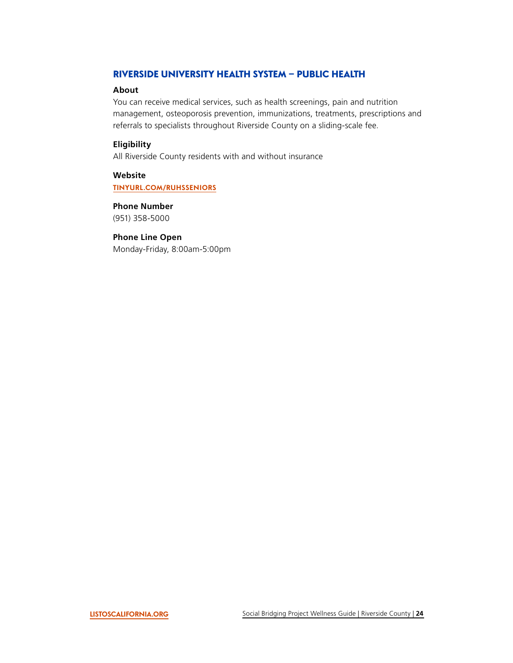# <span id="page-24-0"></span>RIVERSIDE UNIVERSITY HEALTH SYSTEM – PUBLIC HEALTH

#### **About**

You can receive medical services, such as health screenings, pain and nutrition management, osteoporosis prevention, immunizations, treatments, prescriptions and referrals to specialists throughout Riverside County on a sliding-scale fee.

# **Eligibility**

All Riverside County residents with and without insurance

**Website [TINYURL.COM/RUHSSENIORS](https://www.rivco-familycarecenters.org/Services/SeniorServices.aspx)** 

**Phone Number**  (951) 358-5000

## **Phone Line Open**

Monday-Friday, 8:00am-5:00pm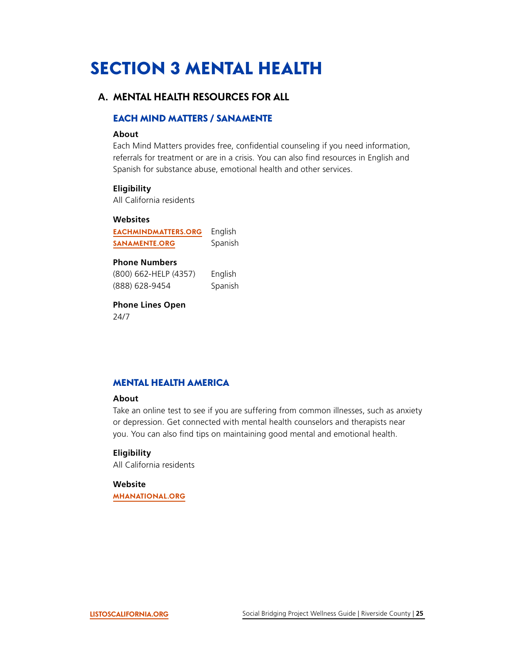# <span id="page-25-0"></span>SECTION 3 MENTAL HEALTH

# **A. MENTAL HEALTH RESOURCES FOR ALL**

# EACH MIND MATTERS / SANAMENTE

#### **About**

Each Mind Matters provides free, confidential counseling if you need information, referrals for treatment or are in a crisis. You can also find resources in English and Spanish for substance abuse, emotional health and other services.

#### **Eligibility**

All California residents

#### **Websites**

 **[SANAMENTE.ORG](https://www.sanamente.org/) [EACHMINDMATTERS.ORG](https://www.eachmindmatters.org/)**  English Spanish

# **Phone Numbers**

(800) 662-HELP (4357) English<br>(888) 628-9454 Spanish (800) 662-HELP (4357) Spanish

**Phone Lines Open**  24/7

# MENTAL HEALTH AMERICA

#### **About**

Take an online test to see if you are suffering from common illnesses, such as anxiety or depression. Get connected with mental health counselors and therapists near you. You can also find tips on maintaining good mental and emotional health.

#### **Eligibility**

All California residents

#### **Website [MHANATIONAL.ORG](https://mhanational.org/)**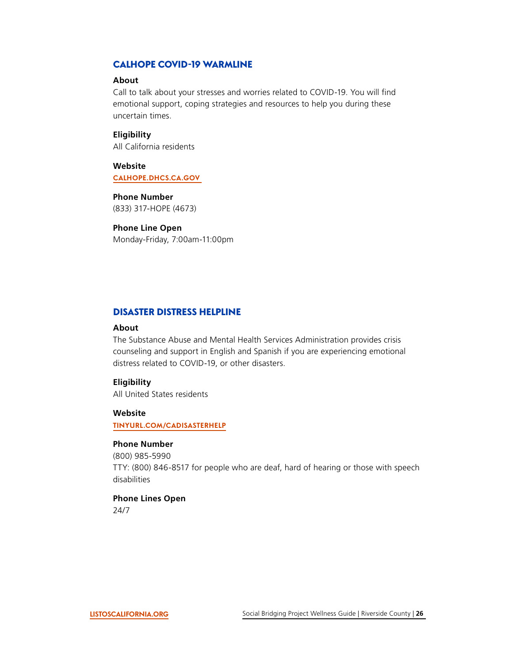# <span id="page-26-0"></span>CALHOPE COVID-19 WARMLINE

#### **About**

Call to talk about your stresses and worries related to COVID-19. You will find emotional support, coping strategies and resources to help you during these uncertain times.

#### **Eligibility**

All California residents

**Website [CALHOPE.DHCS.CA.GOV](https://www.calhope.org/)** 

**Phone Number**  (833) 317-HOPE (4673)

#### **Phone Line Open**

Monday-Friday, 7:00am-11:00pm

#### DISASTER DISTRESS HELPLINE

#### **About**

The Substance Abuse and Mental Health Services Administration provides crisis counseling and support in English and Spanish if you are experiencing emotional distress related to COVID-19, or other disasters.

#### **Eligibility**

All United States residents

#### **Website**

**[TINYURL.COM/CADISASTERHELP](https://www.samhsa.gov/find-help/disaster-distress-helpline)** 

#### **Phone Number**

(800) 985-5990 TTY: (800) 846-8517 for people who are deaf, hard of hearing or those with speech disabilities

## **Phone Lines Open**

24/7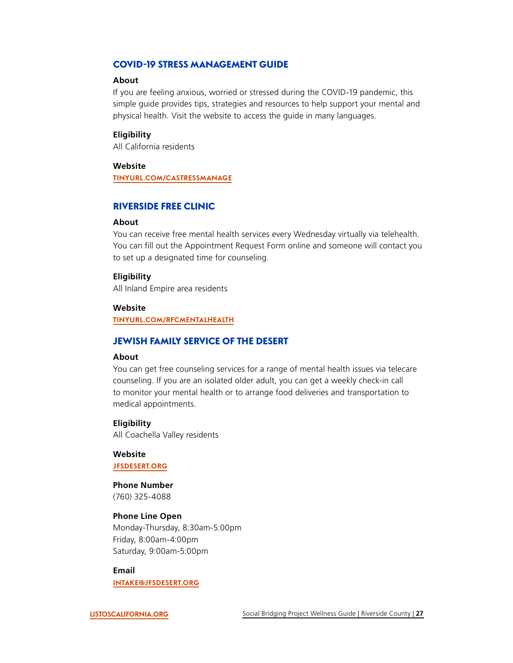# <span id="page-27-0"></span>COVID-19 STRESS MANAGEMENT GUIDE

#### **About**

If you are feeling anxious, worried or stressed during the COVID-19 pandemic, this simple guide provides tips, strategies and resources to help support your mental and physical health. Visit the website to access the guide in many languages.

#### **Eligibility**

All California residents

## **Website**

**[TINYURL.COM/CASTRESSMANAGE](https://covid19.ca.gov/manage-stress-for-health/)** 

#### RIVERSIDE FREE CLINIC

#### **About**

You can receive free mental health services every Wednesday virtually via telehealth. You can fill out the Appointment Request Form online and someone will contact you to set up a designated time for counseling.

#### **Eligibility**

All Inland Empire area residents

#### **Website**

**[TINYURL.COM/RFCMENTALHEALTH](http://www.riversidefreeclinic.com/about-us/contact-us)** 

# JEWISH FAMILY SERVICE OF THE DESERT

#### **About**

You can get free counseling services for a range of mental health issues via telecare counseling. If you are an isolated older adult, you can get a weekly check-in call to monitor your mental health or to arrange food deliveries and transportation to medical appointments.

#### **Eligibility**

All Coachella Valley residents

**Website [JFSDESERT.ORG](https://jfsdesert.org/)** 

**Phone Number**  (760) 325-4088

# **Phone Line Open**

Monday-Thursday, 8:30am-5:00pm Friday, 8:00am-4:00pm Saturday, 9:00am-5:00pm

**Email** 

**[INTAKE@JFSDESERT.ORG](mailto:intake@jfsdesert.org)**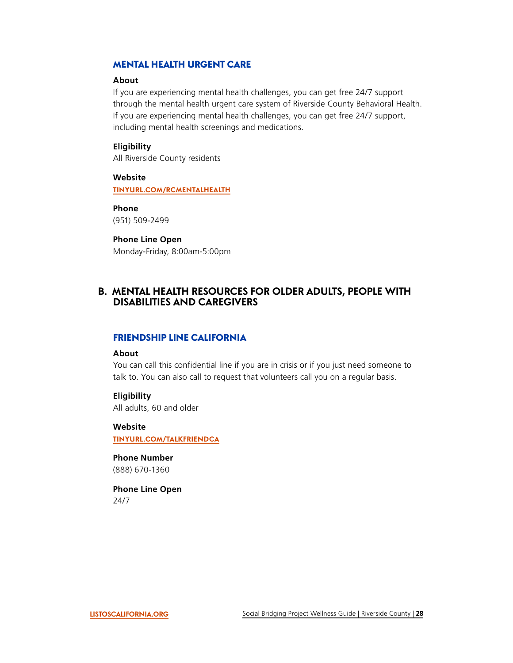# <span id="page-28-0"></span>MENTAL HEALTH URGENT CARE

#### **About**

If you are experiencing mental health challenges, you can get free 24/7 support through the mental health urgent care system of Riverside County Behavioral Health. If you are experiencing mental health challenges, you can get free 24/7 support, including mental health screenings and medications.

#### **Eligibility**

All Riverside County residents

**Website [TINYURL.COM/RCMENTALHEALTH](https://rcdmh.org/Portals/0/PDF/Dual%20Programs%20RI%20Crisis%20RCSU%20(3).pdf?ver=2018-06-19-072756-177)** 

**Phone**  (951) 509-2499

## **Phone Line Open**

Monday-Friday, 8:00am-5:00pm

# **B. MENTAL HEALTH RESOURCES FOR OLDER ADULTS, PEOPLE WITH DISABILITIES AND CAREGIVERS**

## FRIENDSHIP LINE CALIFORNIA

#### **About**

You can call this confidential line if you are in crisis or if you just need someone to talk to. You can also call to request that volunteers call you on a regular basis.

#### **Eligibility**

All adults, 60 and older

#### **Website**

**[TINYURL.COM/TALKFRIENDCA](https://www.ioaging.org/FRIENDSHIP-LINE-CALIFORNIA)** 

**Phone Number**  (888) 670-1360

**Phone Line Open**  24/7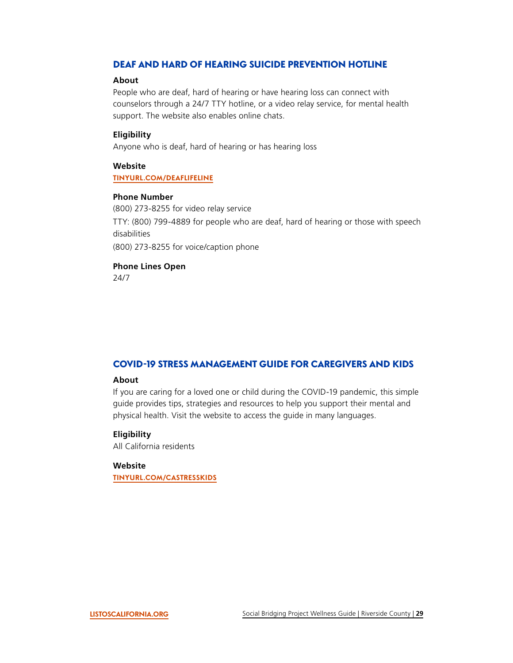# <span id="page-29-0"></span>DEAF AND HARD OF HEARING SUICIDE PREVENTION HOTLINE

#### **About**

People who are deaf, hard of hearing or have hearing loss can connect with counselors through a 24/7 TTY hotline, or a video relay service, for mental health support. The website also enables online chats.

#### **Eligibility**

Anyone who is deaf, hard of hearing or has hearing loss

#### **Website**

#### **[TINYURL.COM/DEAFLIFELINE](https://suicidepreventionlifeline.org/help-yourself/for-deaf-hard-of-hearing/)**

#### **Phone Number**

(800) 273-8255 for video relay service TTY: (800) 799-4889 for people who are deaf, hard of hearing or those with speech disabilities (800) 273-8255 for voice/caption phone

# **Phone Lines Open**

24/7

# COVID-19 STRESS MANAGEMENT GUIDE FOR CAREGIVERS AND KIDS

#### **About**

If you are caring for a loved one or child during the COVID-19 pandemic, this simple guide provides tips, strategies and resources to help you support their mental and physical health. Visit the website to access the guide in many languages.

#### **Eligibility**

All California residents

#### **Website**

**[TINYURL.COM/CASTRESSKIDS](https://files.covid19.ca.gov/pdf/caregivers_and_kids_california_surgeon_general_stress_busting_playbook_draft_v2_clean_ada_04072020v2.pdf)**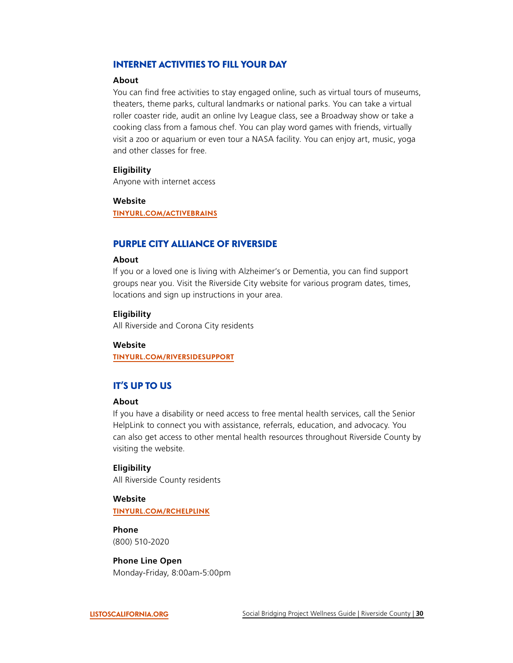# <span id="page-30-0"></span>INTERNET ACTIVITIES TO FILL YOUR DAY

#### **About**

You can find free activities to stay engaged online, such as virtual tours of museums, theaters, theme parks, cultural landmarks or national parks. You can take a virtual roller coaster ride, audit an online Ivy League class, see a Broadway show or take a cooking class from a famous chef. You can play word games with friends, virtually visit a zoo or aquarium or even tour a NASA facility. You can enjoy art, music, yoga and other classes for free.

#### **Eligibility**

Anyone with internet access

#### **Website**

**[TINYURL.COM/ACTIVEBRAINS](https://www.insider.com/free-things-online-while-at-home-during-the-coronavirus-outbreak-2020-3#celebrities-and-authors-will-read-stories-to-kids-30)** 

# PURPLE CITY ALLIANCE OF RIVERSIDE

#### **About**

If you or a loved one is living with Alzheimer's or Dementia, you can find support groups near you. Visit the Riverside City website for various program dates, times, locations and sign up instructions in your area.

#### **Eligibility**

All Riverside and Corona City residents

#### **Website**

**[TINYURL.COM/RIVERSIDESUPPORT](https://www.riversideca.gov/mayor/Dementia-Friendly-Riverside/support-groups.asp)** 

# IT'S UP TO US

#### **About**

If you have a disability or need access to free mental health services, call the Senior HelpLink to connect you with assistance, referrals, education, and advocacy. You can also get access to other mental health resources throughout Riverside County by visiting the website.

#### **Eligibility**

All Riverside County residents

# **Website**

**[TINYURL.COM/RCHELPLINK](https://up2riverside.org/resources/resources-for-older-adults/)** 

# **Phone**  (800) 510-2020

**Phone Line Open**  Monday-Friday, 8:00am-5:00pm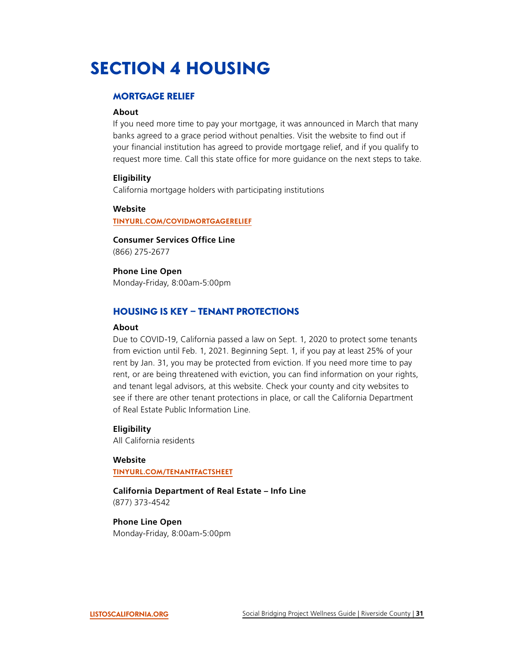# <span id="page-31-0"></span>SECTION 4 HOUSING

#### MORTGAGE RELIEF

#### **About**

If you need more time to pay your mortgage, it was announced in March that many banks agreed to a grace period without penalties. Visit the website to find out if your financial institution has agreed to provide mortgage relief, and if you qualify to request more time. Call this state office for more quidance on the next steps to take.

#### **Eligibility**

California mortgage holders with participating institutions

#### **Website**

**[TINYURL.COM/COVIDMORTGAGERELIEF](https://covid19.ca.gov/housing-and-homelessness/#top)** 

**Consumer Services Office Line** (866) 275-2677

**Phone Line Open**  Monday-Friday, 8:00am-5:00pm

#### HOUSING IS KEY – TENANT PROTECTIONS

#### **About**

Due to COVID-19, California passed a law on Sept. 1, 2020 to protect some tenants from eviction until Feb. 1, 2021. Beginning Sept. 1, if you pay at least 25% of your rent by Jan. 31, you may be protected from eviction. If you need more time to pay rent, or are being threatened with eviction, you can find information on your rights, and tenant legal advisors, at this website. Check your county and city websites to see if there are other tenant protections in place, or call the California Department of Real Estate Public Information Line.

#### **Eligibility**

All California residents

#### **Website**

**[TINYURL.COM/TENANTFACTSHEET](https://landlordtenant.dre.ca.gov/pdf/resources/tenant/BCSH_FactSheet_Tenants_09022020.pdf)** 

**California Department of Real Estate – Info Line**  (877) 373-4542

#### **Phone Line Open**  Monday-Friday, 8:00am-5:00pm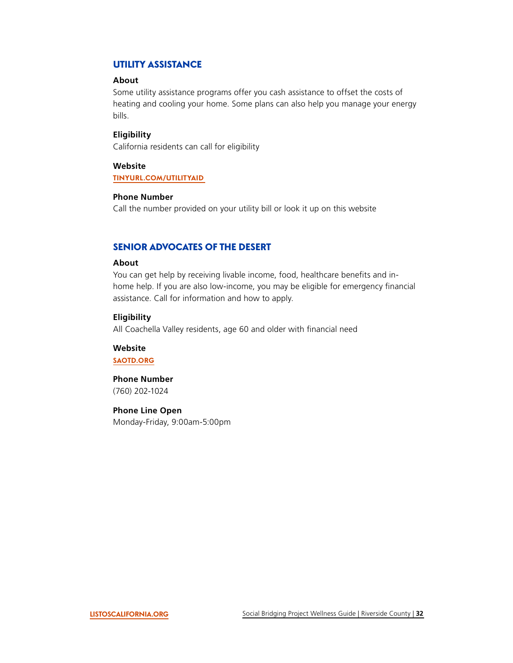# <span id="page-32-0"></span>UTILITY ASSISTANCE

# **About**

Some utility assistance programs offer you cash assistance to offset the costs of heating and cooling your home. Some plans can also help you manage your energy bills.

#### **Eligibility**

California residents can call for eligibility

#### **Website**

#### **[TINYURL.COM/UTILITYAID](https://www.cpuc.ca.gov/assistanceplans/)**

#### **Phone Number**

Call the number provided on your utility bill or look it up on this website

# SENIOR ADVOCATES OF THE DESERT

#### **About**

You can get help by receiving livable income, food, healthcare benefits and inhome help. If you are also low-income, you may be eligible for emergency financial assistance. Call for information and how to apply.

#### **Eligibility**

All Coachella Valley residents, age 60 and older with fnancial need

**Website [SAOTD.ORG](http://saotd.org/)** 

**Phone Number** 

(760) 202-1024

**Phone Line Open**  Monday-Friday, 9:00am-5:00pm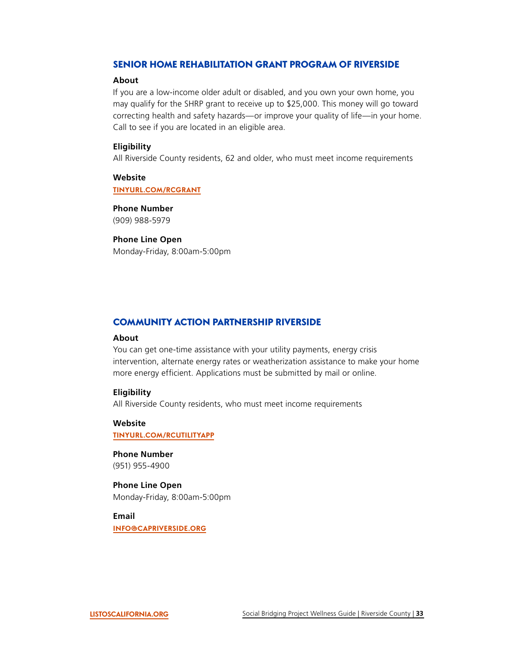# <span id="page-33-0"></span>SENIOR HOME REHABILITATION GRANT PROGRAM OF RIVERSIDE

#### **About**

 Call to see if you are located in an eligible area. If you are a low-income older adult or disabled, and you own your own home, you may qualify for the SHRP grant to receive up to \$25,000. This money will go toward correcting health and safety hazards—or improve your quality of life—in your home.

#### **Eligibility**

All Riverside County residents, 62 and older, who must meet income requirements

**Website [TINYURL.COM/RCGRANT](https://nphsinc.org/wp-content/uploads/2019/05/2019-County-of-Riverside-Senior-OORP-Trifold-English-Final.pdf)** 

**Phone Number**  (909) 988-5979

#### **Phone Line Open**

Monday-Friday, 8:00am-5:00pm

# COMMUNITY ACTION PARTNERSHIP RIVERSIDE

#### **About**

You can get one-time assistance with your utility payments, energy crisis intervention, alternate energy rates or weatherization assistance to make your home more energy efficient. Applications must be submitted by mail or online.

#### **Eligibility**

All Riverside County residents, who must meet income requirements

# **Website**

**[TINYURL.COM/RCUTILITYAPP](https://www.capriverside.org/program/utilityassistanceprogram)** 

**Phone Number**  (951) 955-4900

**Phone Line Open**  Monday-Friday, 8:00am-5:00pm

**Email [INFO@CAPRIVERSIDE.ORG](mailto:info@capriverside.org)**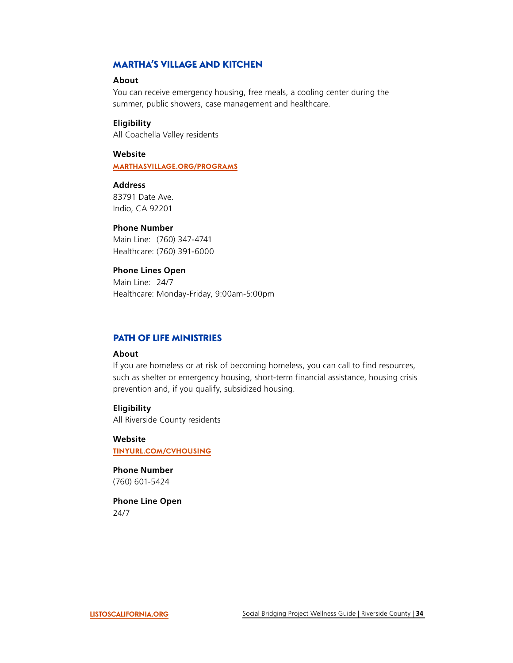# <span id="page-34-0"></span>MARTHA'S VILLAGE AND KITCHEN

#### **About**

You can receive emergency housing, free meals, a cooling center during the summer, public showers, case management and healthcare.

#### **Eligibility**

All Coachella Valley residents

#### **Website**

**[MARTHASVILLAGE.ORG/PROGRAMS](https://marthasvillage.org/PROGRAMS/)** 

# **Address**

83791 Date Ave. Indio, CA 92201

#### **Phone Number**

Main Line: (760) 347-4741 Healthcare: (760) 391-6000

#### **Phone Lines Open**

Main Line: 24/7 Healthcare: Monday-Friday, 9:00am-5:00pm

#### PATH OF LIFE MINISTRIES

#### **About**

 prevention and, if you qualify, subsidized housing. If you are homeless or at risk of becoming homeless, you can call to find resources, such as shelter or emergency housing, short-term financial assistance, housing crisis

#### **Eligibility**

All Riverside County residents

**Website [TINYURL.COM/CVHOUSING](https://www.thepathoflife.com/shelter)** 

#### **Phone Number**  (760) 601-5424

**Phone Line Open**  24/7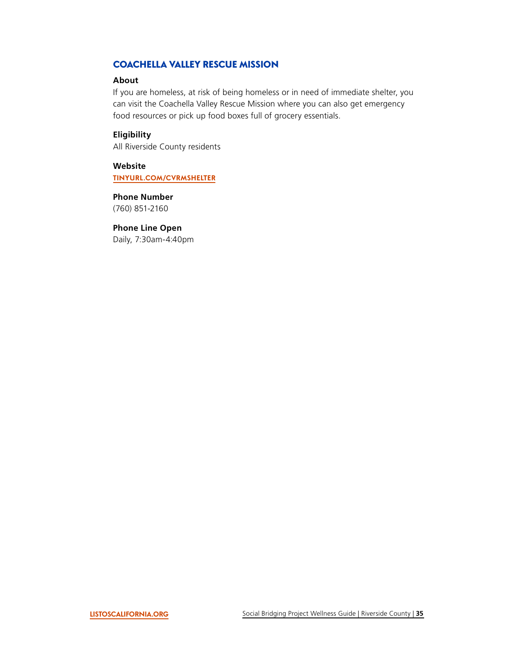# <span id="page-35-0"></span>COACHELLA VALLEY RESCUE MISSION

#### **About**

 food resources or pick up food boxes full of grocery essentials. If you are homeless, at risk of being homeless or in need of immediate shelter, you can visit the Coachella Valley Rescue Mission where you can also get emergency

#### **Eligibility**

All Riverside County residents

**Website [TINYURL.COM/CVRMSHELTER](https://www.cvrm.org/what-we-do/provide-shelter/)** 

**Phone Number**  (760) 851-2160

#### **Phone Line Open**

Daily, 7:30am-4:40pm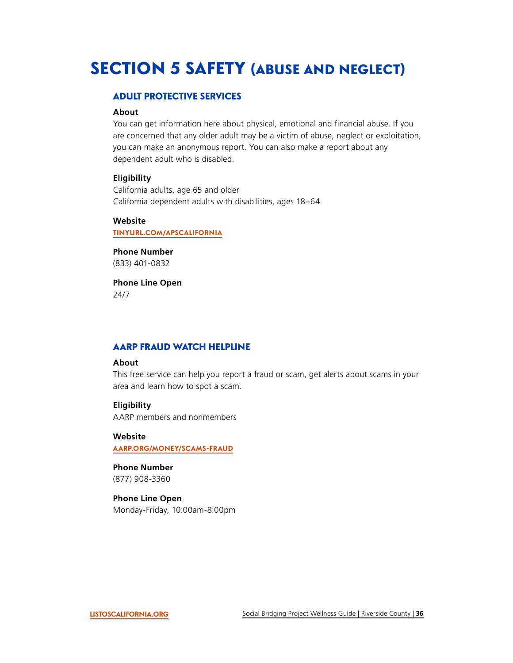# <span id="page-36-0"></span>SECTION 5 SAFETY (ABUSE AND NEGLECT)

## ADULT PROTECTIVE SERVICES

#### **About**

You can get information here about physical, emotional and financial abuse. If you are concerned that any older adult may be a victim of abuse, neglect or exploitation, you can make an anonymous report. You can also make a report about any dependent adult who is disabled.

#### **Eligibility**

California adults, age 65 and older California dependent adults with disabilities, ages 18–64

#### **Website**

**[TINYURL.COM/APSCALIFORNIA](https://www.cdss.ca.gov/adult-protective-services)** 

**Phone Number**  (833) 401-0832

**Phone Line Open**  24/7

# AARP FRAUD WATCH HELPLINE

#### **About**

This free service can help you report a fraud or scam, get alerts about scams in your area and learn how to spot a scam.

#### **Eligibility**

AARP members and nonmembers

**Website [AARP.ORG/MONEY/SCAMS-FRAUD](https://www.aarp.org/money/scams-fraud/)** 

**Phone Number**  (877) 908-3360

## **Phone Line Open**

Monday-Friday, 10:00am-8:00pm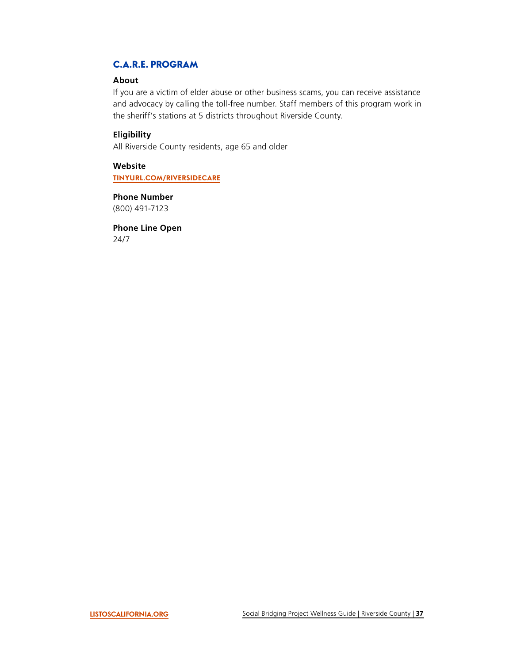# <span id="page-37-0"></span>C.A.R.E. PROGRAM

#### **About**

If you are a victim of elder abuse or other business scams, you can receive assistance and advocacy by calling the toll-free number. Staff members of this program work in the sheriff's stations at 5 districts throughout Riverside County.

## **Eligibility**

All Riverside County residents, age 65 and older

**Website [TINYURL.COM/RIVERSIDECARE](http://dpss.co.riverside.ca.us/adult-services-division/care-program)** 

**Phone Number**  (800) 491-7123

**Phone Line Open**  24/7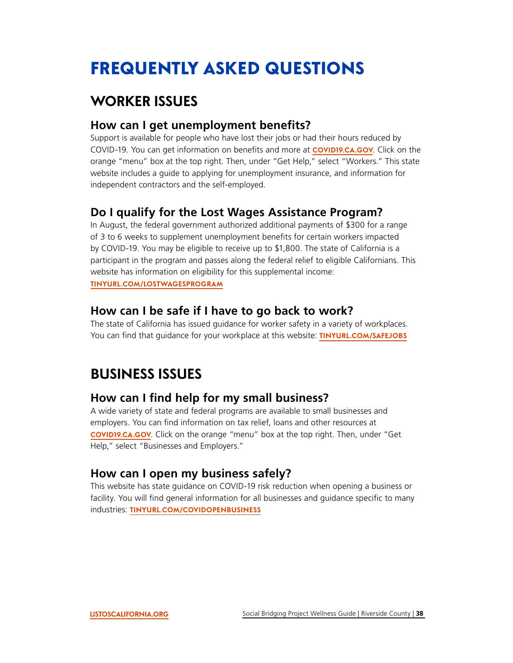# <span id="page-38-0"></span>FREQUENTLY ASKED QUESTIONS

# **WORKER ISSUES**

# **How can I get unemployment benefts?**

Support is available for people who have lost their jobs or had their hours reduced by COVID-19. You can get information on benefts and more at **[COVID19.CA.GOV](https://covid19.ca.gov/)**. Click on the orange "menu" box at the top right. Then, under "Get Help," select "Workers." This state website includes a guide to applying for unemployment insurance, and information for independent contractors and the self-employed.

# **Do I qualify for the Lost Wages Assistance Program?**

In August, the federal government authorized additional payments of \$300 for a range of 3 to 6 weeks to supplement unemployment benefts for certain workers impacted by COVID-19. You may be eligible to receive up to \$1,800. The state of California is a participant in the program and passes along the federal relief to eligible Californians. This website has information on eligibility for this supplemental income: **[TINYURL.COM/LOSTWAGESPROGRAM](https://www.edd.ca.gov/about_edd/coronavirus-2019/lost-wages-assistance.htm)** 

# **How can I be safe if I have to go back to work?**

The state of California has issued guidance for worker safety in a variety of workplaces. You can fnd that guidance for your workplace at this website: **[TINYURL.COM/SAFEJOBS](https://www.dir.ca.gov/dosh/coronavirus/Health-Care-General-Industry.html)** 

# **BUSINESS ISSUES**

# **How can I find help for my small business?**

A wide variety of state and federal programs are available to small businesses and employers. You can find information on tax relief, loans and other resources at **[COVID19.CA.GOV](https://covid19.ca.gov/)**. Click on the orange "menu" box at the top right. Then, under "Get Help," select "Businesses and Employers."

# **How can I open my business safely?**

This website has state guidance on COVID-19 risk reduction when opening a business or facility. You will find general information for all businesses and guidance specific to many industries: **[TINYURL.COM/COVIDOPENBUSINESS](https://covid19.ca.gov/industry-guidance/)**